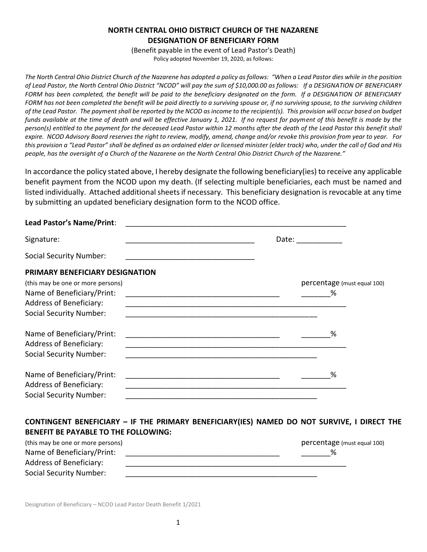## **NORTH CENTRAL OHIO DISTRICT CHURCH OF THE NAZARENE DESIGNATION OF BENEFICIARY FORM**

(Benefit payable in the event of Lead Pastor's Death) Policy adopted November 19, 2020, as follows:

*The North Central Ohio District Church of the Nazarene has adopted a policy as follows: "When a Lead Pastor dies while in the position*  of Lead Pastor, the North Central Ohio District "NCOD" will pay the sum of \$10,000.00 as follows: If a DESIGNATION OF BENEFICIARY *FORM has been completed, the benefit will be paid to the beneficiary designated on the form. If a DESIGNATION OF BENEFICIARY* FORM has not been completed the benefit will be paid directly to a surviving spouse or, if no surviving spouse, to the *surviving children of the Lead Pastor. The payment shall be reported by the NCOD as income to the recipient(s). This provision will occur based on budget funds available at the time of death and will be effective January 1, 2021. If no request for payment of this benefit is made by the person(s) entitled to the payment for the deceased Lead Pastor within 12 months after the death of the Lead Pastor this benefit shall expire. NCOD Advisory Board reserves the right to review, modify, amend, change and/or revoke this provision from year to year. For this provision a "Lead Pastor" shall be defined as an ordained elder or licensed minister (elder track) who, under the call of God and His people, has the oversight of a Church of the Nazarene on the North Central Ohio District Church of the Nazarene."*

In accordance the policy stated above, I hereby designate the following beneficiary(ies) to receive any applicable benefit payment from the NCOD upon my death. (If selecting multiple beneficiaries, each must be named and listed individually. Attached additional sheets if necessary. This beneficiary designation is revocable at any time by submitting an updated beneficiary designation form to the NCOD office.

| Lead Pastor's Name/Print:         |                                                                                                                                                                                                                                |
|-----------------------------------|--------------------------------------------------------------------------------------------------------------------------------------------------------------------------------------------------------------------------------|
| Signature:                        | Date: the contract of the contract of the contract of the contract of the contract of the contract of the contract of the contract of the contract of the contract of the contract of the contract of the contract of the cont |
| <b>Social Security Number:</b>    |                                                                                                                                                                                                                                |
| PRIMARY BENEFICIARY DESIGNATION   |                                                                                                                                                                                                                                |
| (this may be one or more persons) | percentage (must equal 100)                                                                                                                                                                                                    |
| Name of Beneficiary/Print:        | %                                                                                                                                                                                                                              |
| <b>Address of Beneficiary:</b>    |                                                                                                                                                                                                                                |
| <b>Social Security Number:</b>    |                                                                                                                                                                                                                                |
| Name of Beneficiary/Print:        | ℅                                                                                                                                                                                                                              |
| <b>Address of Beneficiary:</b>    |                                                                                                                                                                                                                                |
| <b>Social Security Number:</b>    |                                                                                                                                                                                                                                |
| Name of Beneficiary/Print:        | %                                                                                                                                                                                                                              |
| <b>Address of Beneficiary:</b>    |                                                                                                                                                                                                                                |
| <b>Social Security Number:</b>    |                                                                                                                                                                                                                                |

## **CONTINGENT BENEFICIARY – IF THE PRIMARY BENEFICIARY(IES) NAMED DO NOT SURVIVE, I DIRECT THE BENEFIT BE PAYABLE TO THE FOLLOWING:**

| (this may be one or more persons) | percentage (must equal 100) |
|-----------------------------------|-----------------------------|
| Name of Beneficiary/Print:        |                             |
| Address of Beneficiary:           |                             |
| Social Security Number:           |                             |

Designation of Beneficiary – NCOD Lead Pastor Death Benefit 1/2021